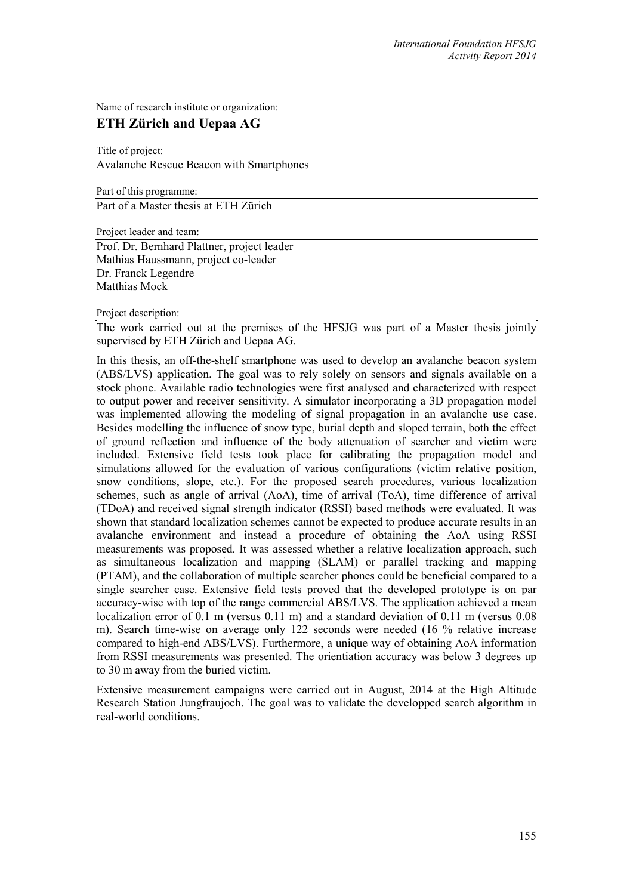Name of research institute or organization:

## **ETH Zürich and Uepaa AG**

Title of project: Avalanche Rescue Beacon with Smartphones

Part of this programme: Part of a Master thesis at ETH Zürich

Project leader and team:

Prof. Dr. Bernhard Plattner, project leader Mathias Haussmann, project co-leader Dr. Franck Legendre Matthias Mock

Project description:

The work carried out at the premises of the HFSJG was part of a Master thesis jointly supervised by ETH Zürich and Uepaa AG.

In this thesis, an off-the-shelf smartphone was used to develop an avalanche beacon system (ABS/LVS) application. The goal was to rely solely on sensors and signals available on a stock phone. Available radio technologies were first analysed and characterized with respect to output power and receiver sensitivity. A simulator incorporating a 3D propagation model was implemented allowing the modeling of signal propagation in an avalanche use case. Besides modelling the influence of snow type, burial depth and sloped terrain, both the effect of ground reflection and influence of the body attenuation of searcher and victim were included. Extensive field tests took place for calibrating the propagation model and simulations allowed for the evaluation of various configurations (victim relative position, snow conditions, slope, etc.). For the proposed search procedures, various localization schemes, such as angle of arrival (AoA), time of arrival (ToA), time difference of arrival (TDoA) and received signal strength indicator (RSSI) based methods were evaluated. It was shown that standard localization schemes cannot be expected to produce accurate results in an avalanche environment and instead a procedure of obtaining the AoA using RSSI measurements was proposed. It was assessed whether a relative localization approach, such as simultaneous localization and mapping (SLAM) or parallel tracking and mapping (PTAM), and the collaboration of multiple searcher phones could be beneficial compared to a single searcher case. Extensive field tests proved that the developed prototype is on par accuracy-wise with top of the range commercial ABS/LVS. The application achieved a mean localization error of 0.1 m (versus 0.11 m) and a standard deviation of 0.11 m (versus 0.08 m). Search time-wise on average only 122 seconds were needed (16 % relative increase compared to high-end ABS/LVS). Furthermore, a unique way of obtaining AoA information from RSSI measurements was presented. The orientiation accuracy was below 3 degrees up to 30 m away from the buried victim.

Extensive measurement campaigns were carried out in August, 2014 at the High Altitude Research Station Jungfraujoch. The goal was to validate the developped search algorithm in real-world conditions.